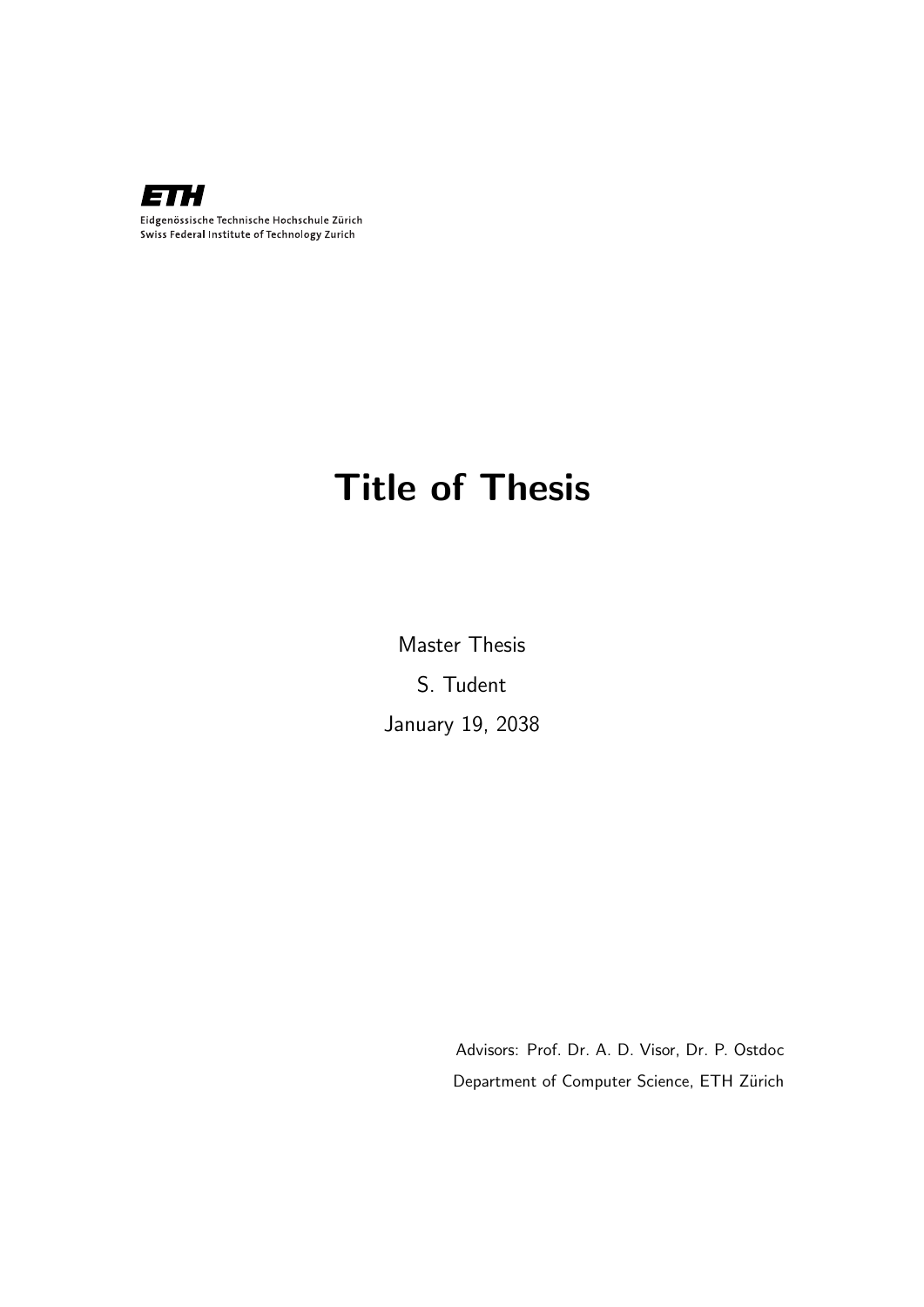

# Title of Thesis

Master Thesis S. Tudent January 19, 2038

> Advisors: Prof. Dr. A. D. Visor, Dr. P. Ostdoc Department of Computer Science, ETH Zürich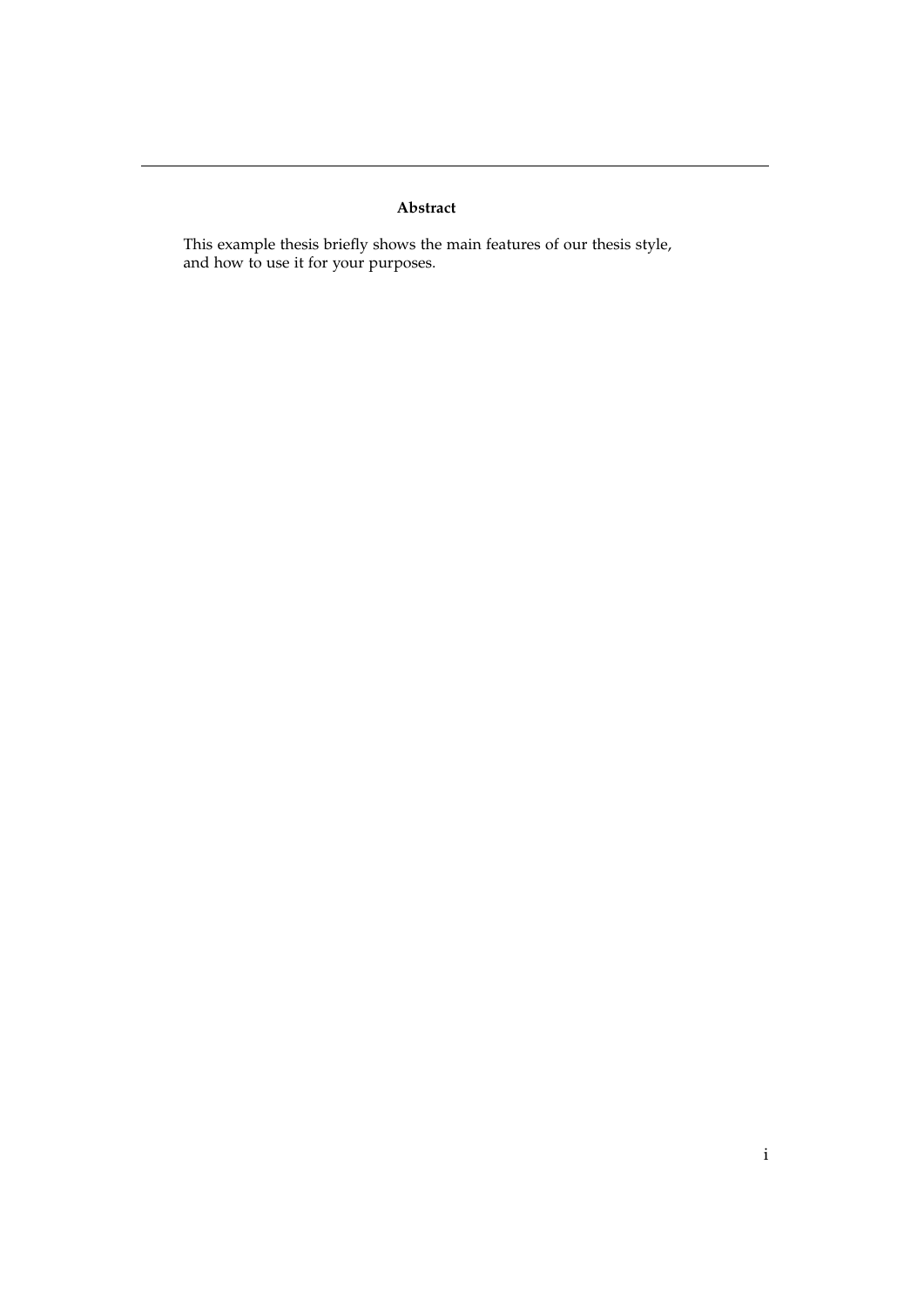#### **Abstract**

This example thesis briefly shows the main features of our thesis style, and how to use it for your purposes.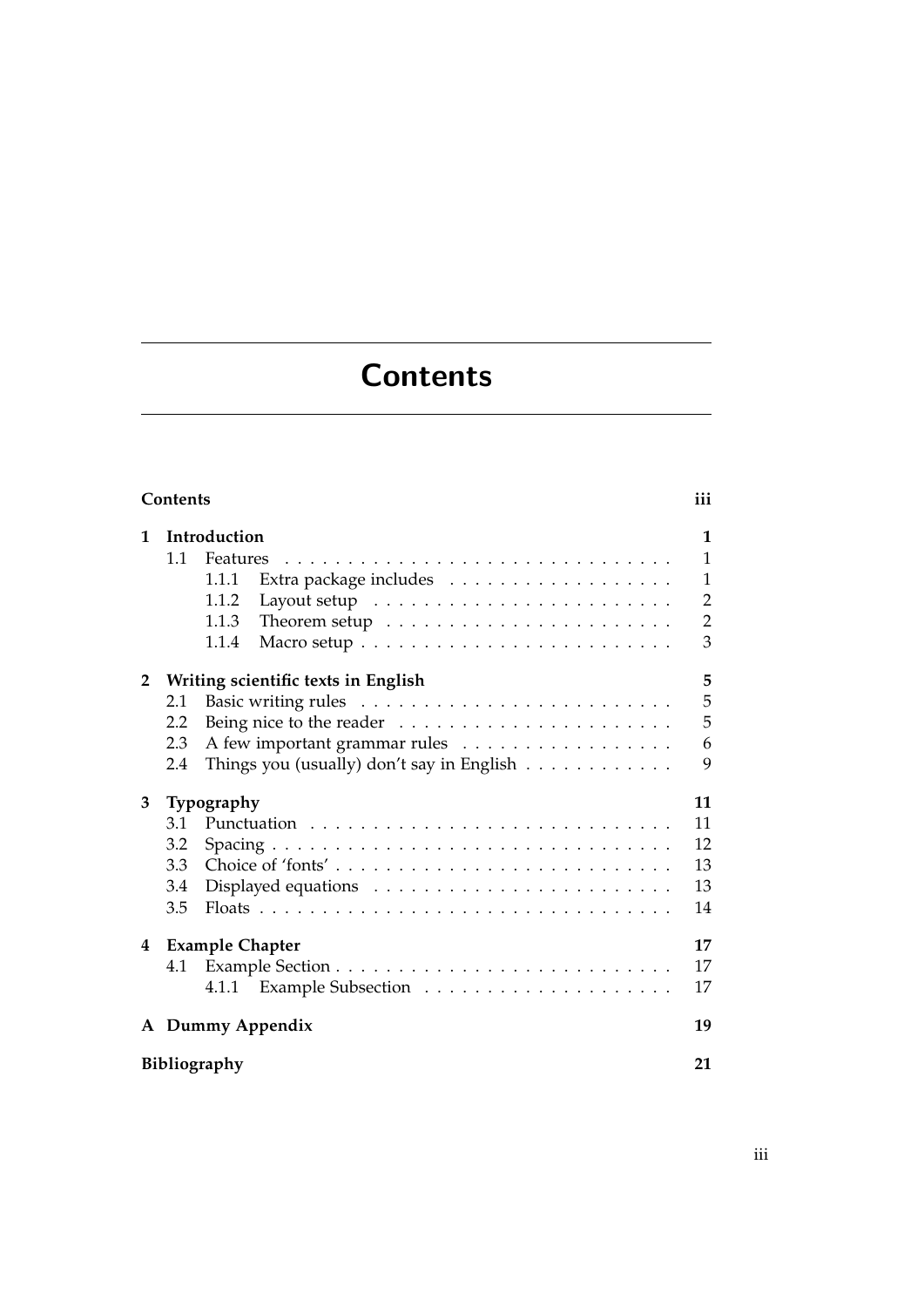# **Contents**

<span id="page-4-0"></span>

| Contents<br>iii    |                                                                             |                |  |  |
|--------------------|-----------------------------------------------------------------------------|----------------|--|--|
| $\mathbf{1}$       | Introduction                                                                | $\mathbf{1}$   |  |  |
|                    | 1.1                                                                         | $\overline{1}$ |  |  |
|                    | 1.1.1                                                                       | $\mathbf{1}$   |  |  |
|                    | 1.1.2                                                                       | $\overline{2}$ |  |  |
|                    | Theorem setup $\dots \dots \dots \dots \dots \dots \dots \dots$<br>1.1.3    | $\overline{2}$ |  |  |
|                    | 1.1.4                                                                       | 3              |  |  |
| $\mathbf{2}$       | Writing scientific texts in English                                         | 5              |  |  |
|                    | 2.1                                                                         | 5              |  |  |
|                    | Being nice to the reader $\dots \dots \dots \dots \dots \dots \dots$<br>2.2 | 5              |  |  |
|                    | A few important grammar rules<br>2.3                                        | 6              |  |  |
|                    | Things you (usually) don't say in English<br>2.4                            | 9              |  |  |
| 3                  | Typography                                                                  | 11             |  |  |
|                    | 3.1                                                                         | 11             |  |  |
|                    | 3.2                                                                         | 12             |  |  |
|                    | 3.3                                                                         | 13             |  |  |
|                    | 3.4                                                                         | 13             |  |  |
|                    | 3.5                                                                         | 14             |  |  |
|                    | 4 Example Chapter                                                           | 17             |  |  |
|                    | 4.1                                                                         | 17             |  |  |
|                    | 4.1.1                                                                       | 17             |  |  |
|                    | A Dummy Appendix                                                            |                |  |  |
| Bibliography<br>21 |                                                                             |                |  |  |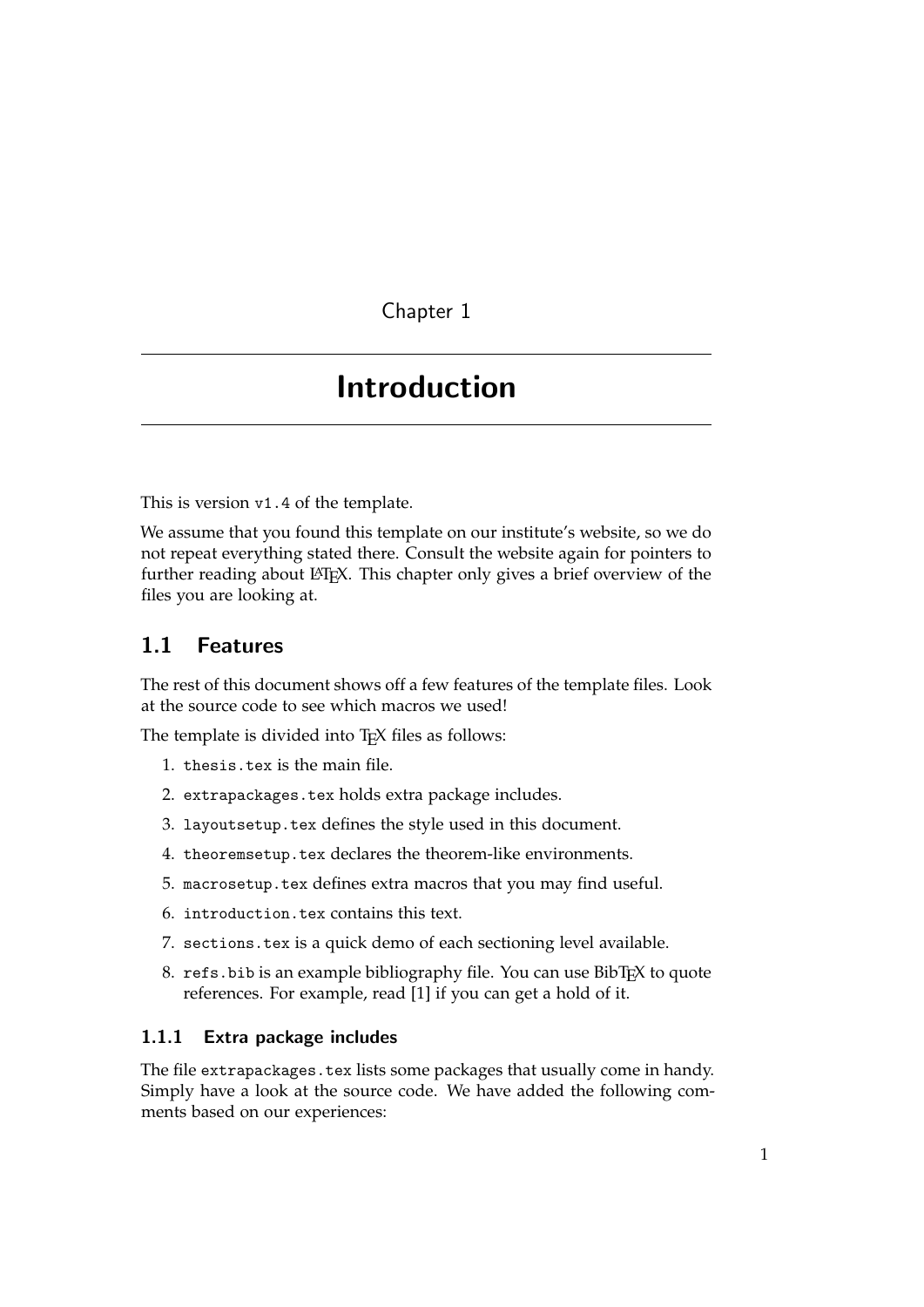## <span id="page-6-0"></span>Introduction

This is version v1.4 of the template.

We assume that you found this template on our institute's website, so we do not repeat everything stated there. Consult the website again for pointers to further reading about LAT<sub>E</sub>X. This chapter only gives a brief overview of the files you are looking at.

## <span id="page-6-1"></span>1.1 Features

The rest of this document shows off a few features of the template files. Look at the source code to see which macros we used!

The template is divided into TEX files as follows:

- 1. thesis.tex is the main file.
- 2. extrapackages.tex holds extra package includes.
- 3. layoutsetup.tex defines the style used in this document.
- 4. theoremsetup.tex declares the theorem-like environments.
- 5. macrosetup.tex defines extra macros that you may find useful.
- 6. introduction.tex contains this text.
- 7. sections.tex is a quick demo of each sectioning level available.
- 8. refs.bib is an example bibliography file. You can use BibTEX to quote references. For example, read [\[1\]](#page-26-0) if you can get a hold of it.

#### <span id="page-6-2"></span>1.1.1 Extra package includes

The file extrapackages.tex lists some packages that usually come in handy. Simply have a look at the source code. We have added the following comments based on our experiences: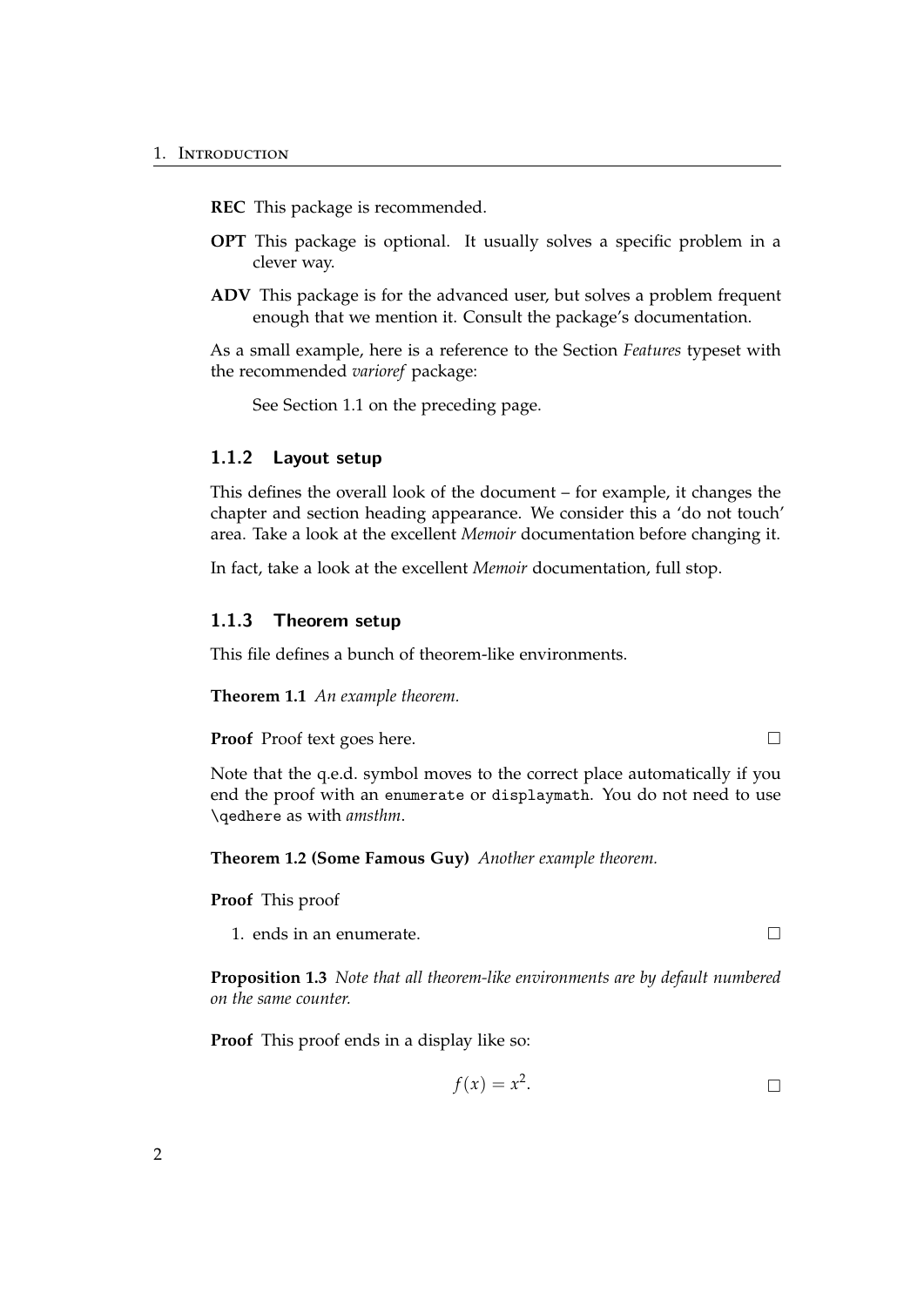**REC** This package is recommended.

- **OPT** This package is optional. It usually solves a specific problem in a clever way.
- **ADV** This package is for the advanced user, but solves a problem frequent enough that we mention it. Consult the package's documentation.

As a small example, here is a reference to the Section *Features* typeset with the recommended *varioref* package:

See Section [1.1 on the preceding page.](#page-6-1)

#### <span id="page-7-0"></span>1.1.2 Layout setup

This defines the overall look of the document – for example, it changes the chapter and section heading appearance. We consider this a 'do not touch' area. Take a look at the excellent *Memoir* documentation before changing it.

In fact, take a look at the excellent *Memoir* documentation, full stop.

#### <span id="page-7-1"></span>1.1.3 Theorem setup

This file defines a bunch of theorem-like environments.

**Theorem 1.1** *An example theorem.*

**Proof** Proof text goes here. □

Note that the q.e.d. symbol moves to the correct place automatically if you end the proof with an enumerate or displaymath. You do not need to use \qedhere as with *amsthm*.

**Theorem 1.2 (Some Famous Guy)** *Another example theorem.*

**Proof** This proof

1. ends in an enumerate.

**Proposition 1.3** *Note that all theorem-like environments are by default numbered on the same counter.*

**Proof** This proof ends in a display like so:

$$
f(x) = x^2. \qquad \qquad \Box
$$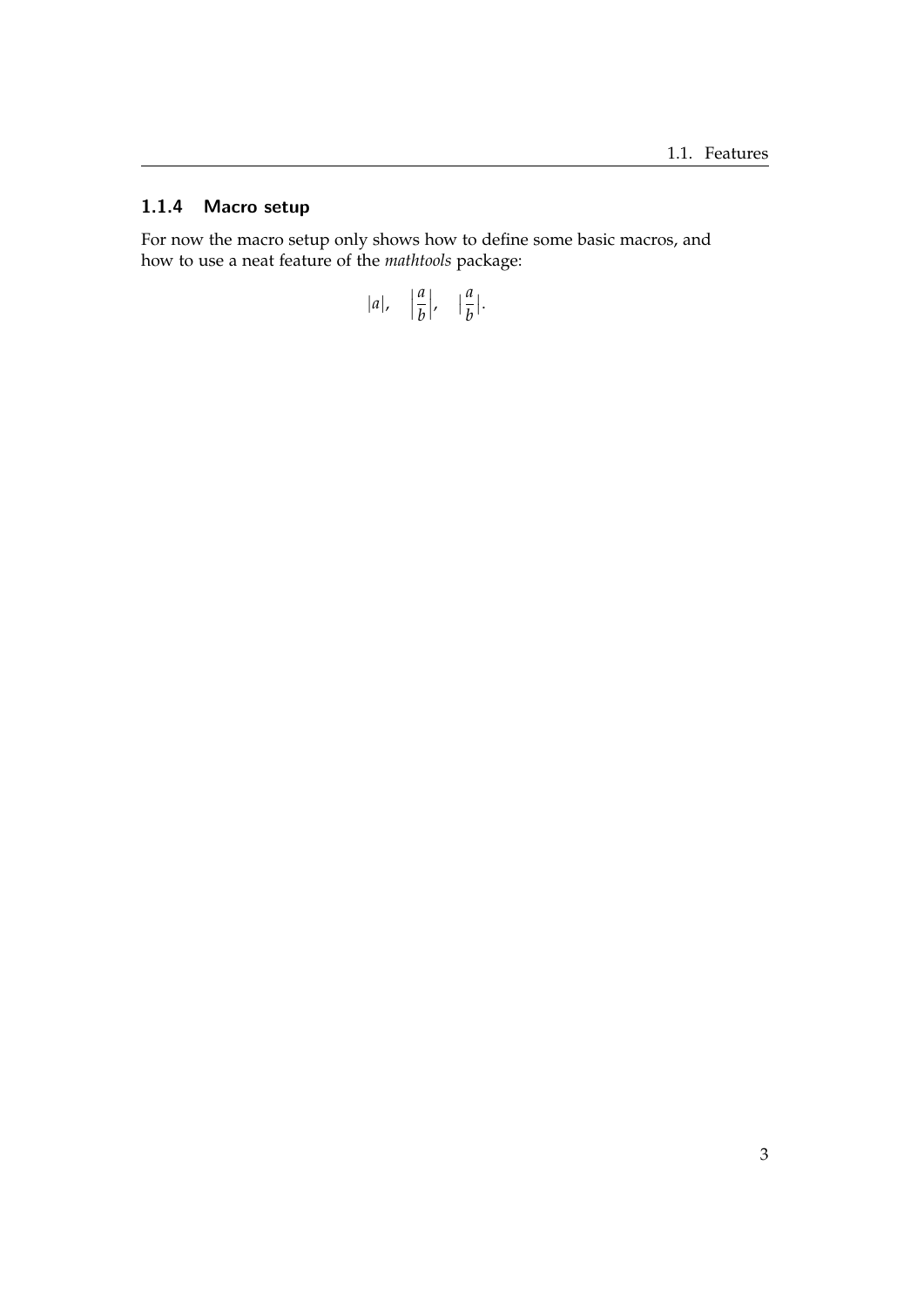#### <span id="page-8-0"></span>1.1.4 Macro setup

For now the macro setup only shows how to define some basic macros, and how to use a neat feature of the *mathtools* package:

$$
|a|, \quad \left|\frac{a}{b}\right|, \quad \left|\frac{a}{b}\right|.
$$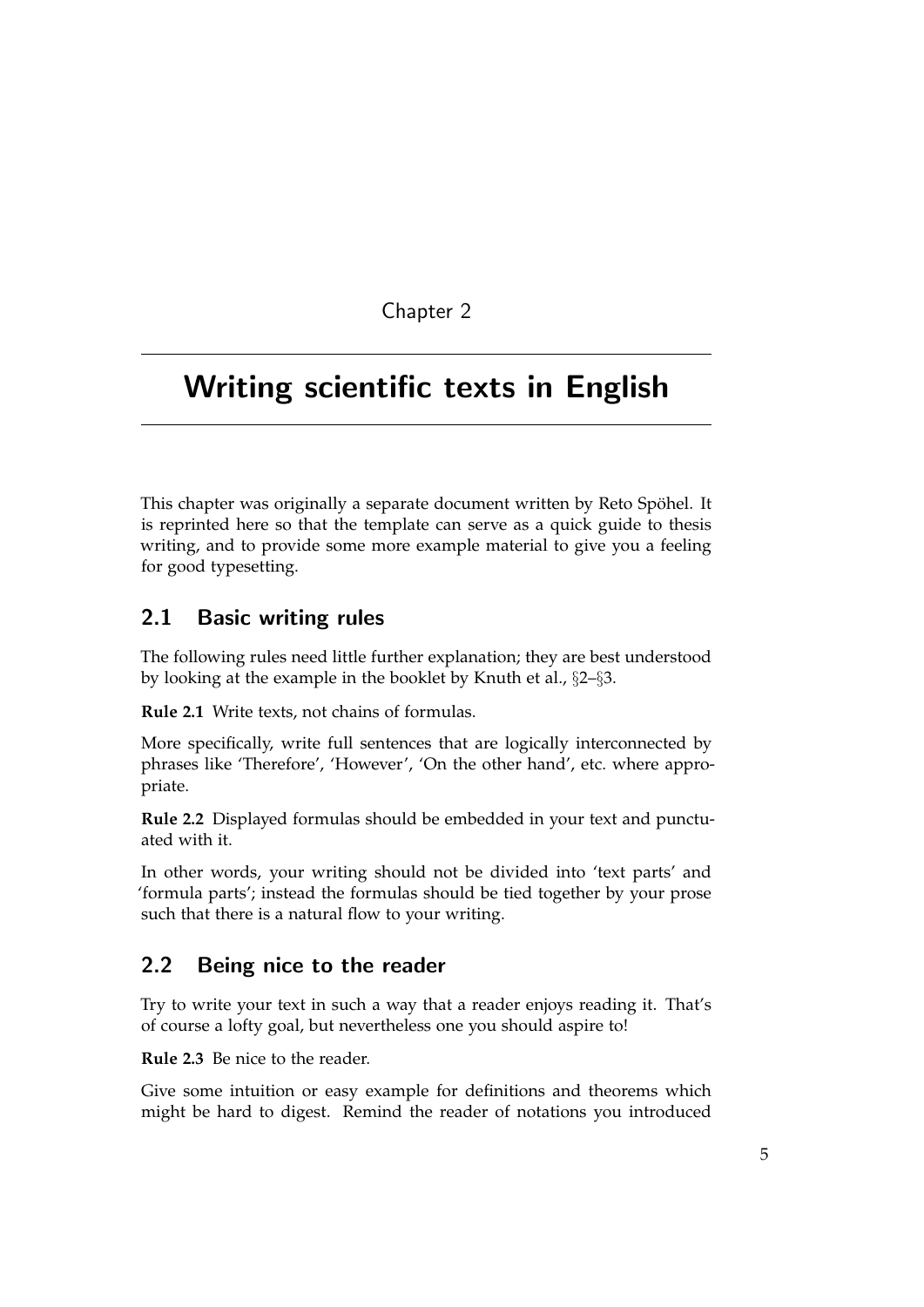## <span id="page-10-0"></span>Writing scientific texts in English

This chapter was originally a separate document written by Reto Spöhel. It is reprinted here so that the template can serve as a quick guide to thesis writing, and to provide some more example material to give you a feeling for good typesetting.

### <span id="page-10-1"></span>2.1 Basic writing rules

The following rules need little further explanation; they are best understood by looking at the example in the booklet by Knuth et al., §2–§3.

**Rule 2.1** Write texts, not chains of formulas.

More specifically, write full sentences that are logically interconnected by phrases like 'Therefore', 'However', 'On the other hand', etc. where appropriate.

**Rule 2.2** Displayed formulas should be embedded in your text and punctuated with it.

In other words, your writing should not be divided into 'text parts' and 'formula parts'; instead the formulas should be tied together by your prose such that there is a natural flow to your writing.

### <span id="page-10-2"></span>2.2 Being nice to the reader

Try to write your text in such a way that a reader enjoys reading it. That's of course a lofty goal, but nevertheless one you should aspire to!

**Rule 2.3** Be nice to the reader.

Give some intuition or easy example for definitions and theorems which might be hard to digest. Remind the reader of notations you introduced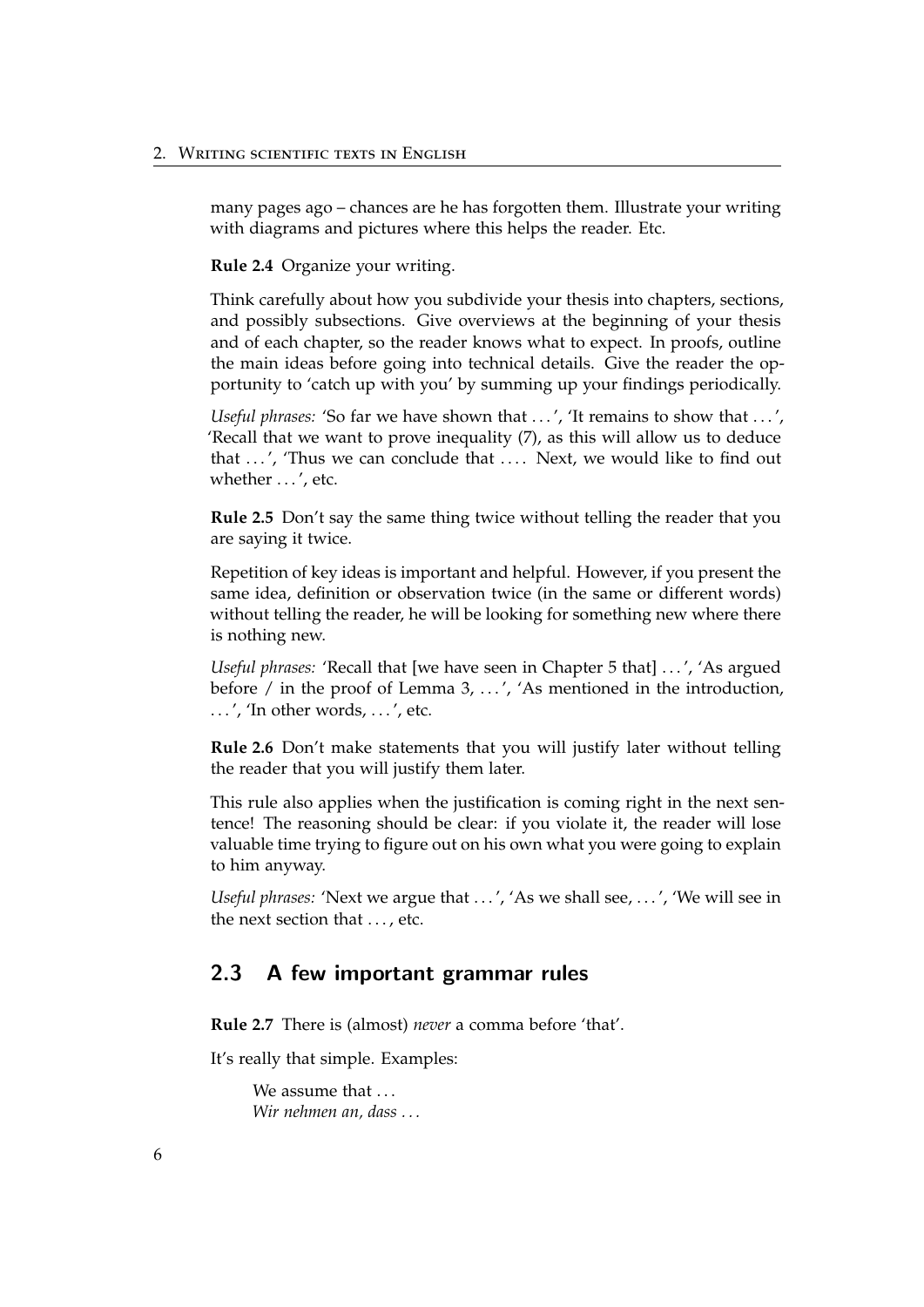many pages ago – chances are he has forgotten them. Illustrate your writing with diagrams and pictures where this helps the reader. Etc.

**Rule 2.4** Organize your writing.

Think carefully about how you subdivide your thesis into chapters, sections, and possibly subsections. Give overviews at the beginning of your thesis and of each chapter, so the reader knows what to expect. In proofs, outline the main ideas before going into technical details. Give the reader the opportunity to 'catch up with you' by summing up your findings periodically.

*Useful phrases:* 'So far we have shown that ...', 'It remains to show that ...', 'Recall that we want to prove inequality (7), as this will allow us to deduce that ...', 'Thus we can conclude that .... Next, we would like to find out whether ...', etc.

**Rule 2.5** Don't say the same thing twice without telling the reader that you are saying it twice.

Repetition of key ideas is important and helpful. However, if you present the same idea, definition or observation twice (in the same or different words) without telling the reader, he will be looking for something new where there is nothing new.

*Useful phrases:* 'Recall that [we have seen in Chapter 5 that] ...', 'As argued before / in the proof of Lemma 3, ...', 'As mentioned in the introduction,  $\ldots$ ', 'In other words,  $\ldots$ ', etc.

**Rule 2.6** Don't make statements that you will justify later without telling the reader that you will justify them later.

This rule also applies when the justification is coming right in the next sentence! The reasoning should be clear: if you violate it, the reader will lose valuable time trying to figure out on his own what you were going to explain to him anyway.

*Useful phrases:* 'Next we argue that ...', 'As we shall see, ...', 'We will see in the next section that . . . . etc.

#### <span id="page-11-1"></span><span id="page-11-0"></span>2.3 A few important grammar rules

**Rule 2.7** There is (almost) *never* a comma before 'that'.

It's really that simple. Examples:

We assume that ... *Wir nehmen an, dass . . .*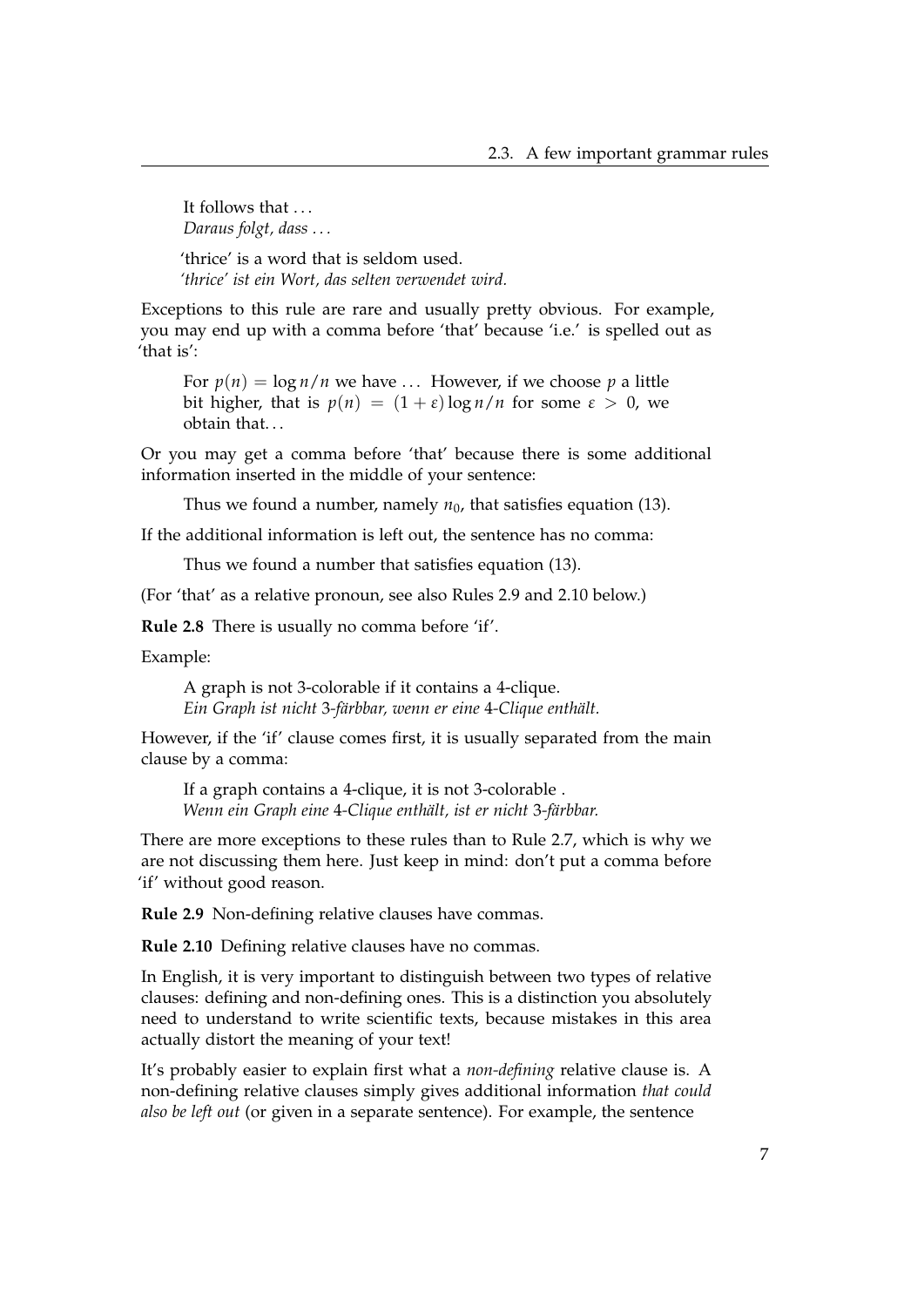It follows that ... *Daraus folgt, dass . . .*

'thrice' is a word that is seldom used. *'thrice' ist ein Wort, das selten verwendet wird.*

Exceptions to this rule are rare and usually pretty obvious. For example, you may end up with a comma before 'that' because 'i.e.' is spelled out as 'that is':

For  $p(n) = \log n/n$  we have ... However, if we choose p a little bit higher, that is  $p(n) = (1 + \varepsilon) \log n/n$  for some  $\varepsilon > 0$ , we obtain that. . .

Or you may get a comma before 'that' because there is some additional information inserted in the middle of your sentence:

Thus we found a number, namely  $n_0$ , that satisfies equation (13).

If the additional information is left out, the sentence has no comma:

Thus we found a number that satisfies equation (13).

(For 'that' as a relative pronoun, see also Rules [2.9](#page-12-0) and [2.10](#page-12-1) below.)

**Rule 2.8** There is usually no comma before 'if'.

Example:

A graph is not 3-colorable if it contains a 4-clique. *Ein Graph ist nicht* 3*-f¨arbbar, wenn er eine* 4*-Clique enth¨alt.*

However, if the 'if' clause comes first, it is usually separated from the main clause by a comma:

If a graph contains a 4-clique, it is not 3-colorable . *Wenn ein Graph eine* 4-Clique enthält, ist er nicht 3-färbbar.

There are more exceptions to these rules than to Rule [2.7,](#page-11-1) which is why we are not discussing them here. Just keep in mind: don't put a comma before 'if' without good reason.

<span id="page-12-0"></span>**Rule 2.9** Non-defining relative clauses have commas.

<span id="page-12-1"></span>**Rule 2.10** Defining relative clauses have no commas.

In English, it is very important to distinguish between two types of relative clauses: defining and non-defining ones. This is a distinction you absolutely need to understand to write scientific texts, because mistakes in this area actually distort the meaning of your text!

It's probably easier to explain first what a *non-defining* relative clause is. A non-defining relative clauses simply gives additional information *that could also be left out* (or given in a separate sentence). For example, the sentence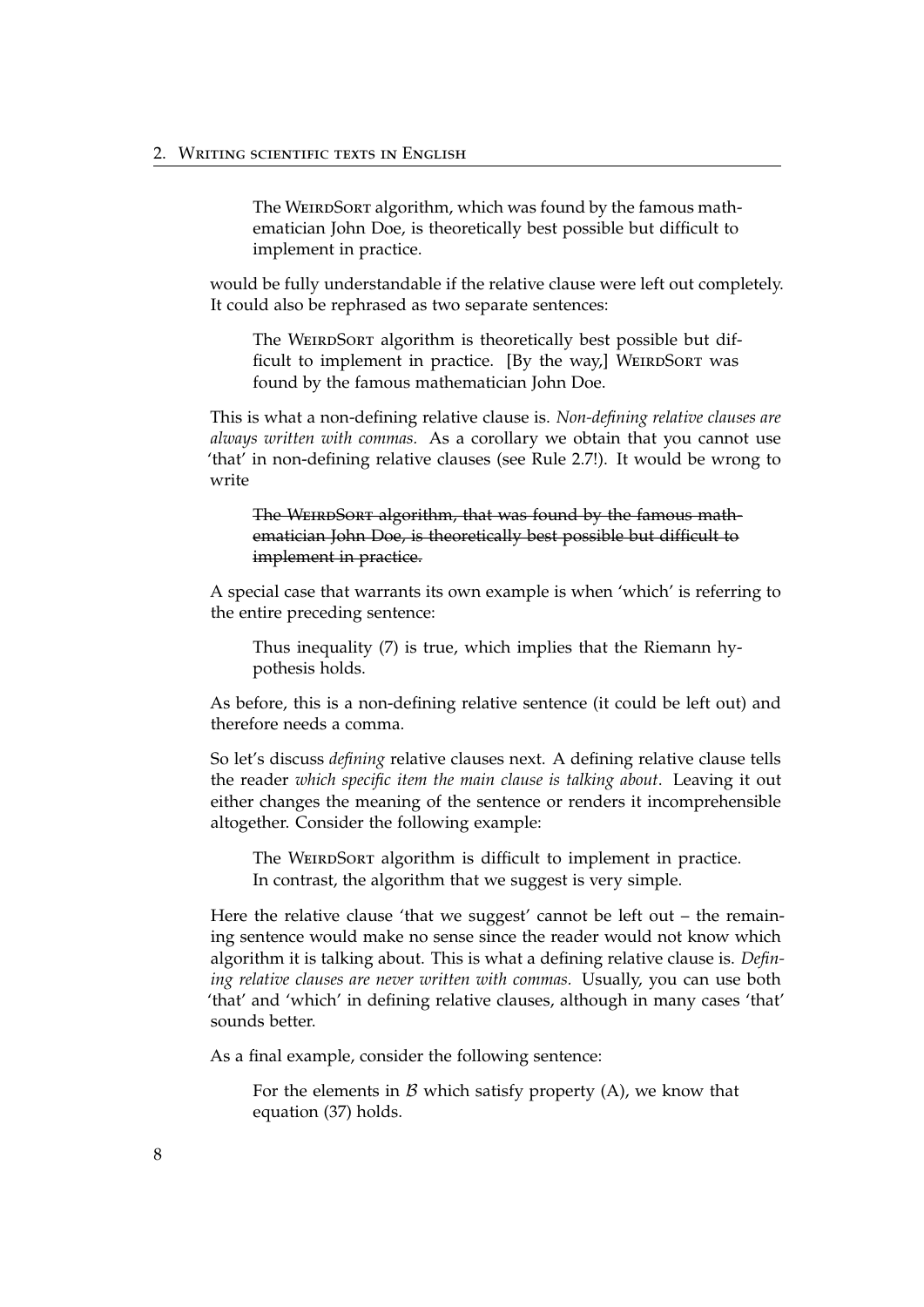The WEIRDSORT algorithm, which was found by the famous mathematician John Doe, is theoretically best possible but difficult to implement in practice.

would be fully understandable if the relative clause were left out completely. It could also be rephrased as two separate sentences:

The WEIRDSORT algorithm is theoretically best possible but difficult to implement in practice.  $[By the way,]$  WEIRDSORT was found by the famous mathematician John Doe.

This is what a non-defining relative clause is. *Non-defining relative clauses are always written with commas.* As a corollary we obtain that you cannot use 'that' in non-defining relative clauses (see Rule [2.7!](#page-11-1)). It would be wrong to write

The WEIRDSORT algorithm, that was found by the famous mathematician John Doe, is theoretically best possible but difficult to implement in practice.

A special case that warrants its own example is when 'which' is referring to the entire preceding sentence:

Thus inequality (7) is true, which implies that the Riemann hypothesis holds.

As before, this is a non-defining relative sentence (it could be left out) and therefore needs a comma.

So let's discuss *defining* relative clauses next. A defining relative clause tells the reader *which specific item the main clause is talking about*. Leaving it out either changes the meaning of the sentence or renders it incomprehensible altogether. Consider the following example:

The WEIRDSORT algorithm is difficult to implement in practice. In contrast, the algorithm that we suggest is very simple.

Here the relative clause 'that we suggest' cannot be left out  $-$  the remaining sentence would make no sense since the reader would not know which algorithm it is talking about. This is what a defining relative clause is. *Defining relative clauses are never written with commas.* Usually, you can use both 'that' and 'which' in defining relative clauses, although in many cases 'that' sounds better.

As a final example, consider the following sentence:

For the elements in  $\beta$  which satisfy property (A), we know that equation (37) holds.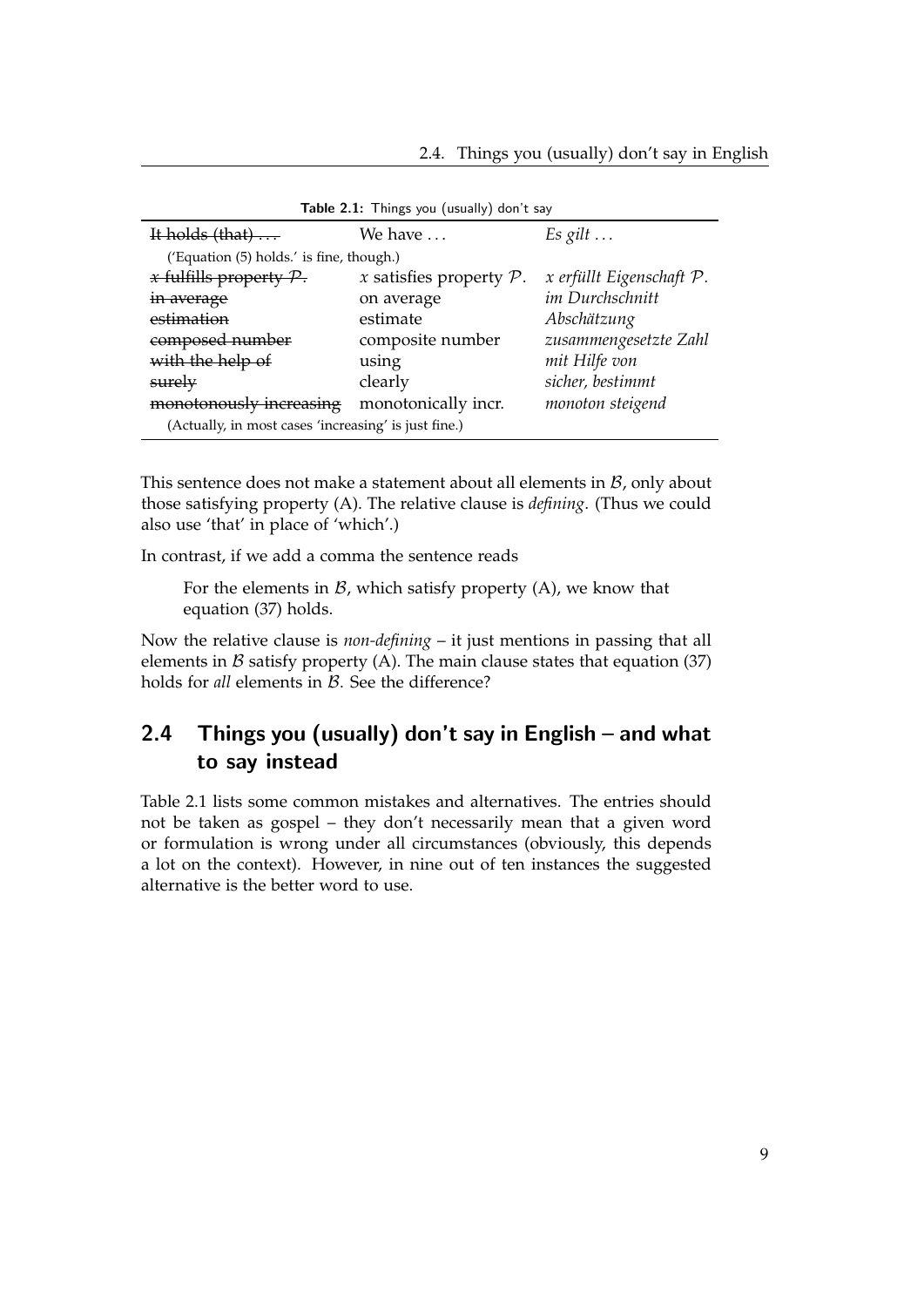| It holds $(that) \dots$                              | We have                    | $Es\, gilt \ldots$       |  |
|------------------------------------------------------|----------------------------|--------------------------|--|
| ('Equation (5) holds.' is fine, though.)             |                            |                          |  |
| $x$ fulfills property $P$ .                          | x satisfies property $P$ . | x erfüllt Eigenschaft P. |  |
| in average                                           | on average                 | im Durchschnitt          |  |
| estimation                                           | estimate                   | Abschätzung              |  |
| composed number                                      | composite number           | zusammengesetzte Zahl    |  |
| with the help of                                     | using                      | mit Hilfe von            |  |
| surely                                               | clearly                    | sicher, bestimmt         |  |
| monotonously increasing                              | monotonically incr.        | monoton steigend         |  |
| (Actually, in most cases 'increasing' is just fine.) |                            |                          |  |

<span id="page-14-1"></span>Table 2.1: Things you (usually) don't say

This sentence does not make a statement about all elements in  $B$ , only about those satisfying property (A). The relative clause is *defining*. (Thus we could also use 'that' in place of 'which'.)

In contrast, if we add a comma the sentence reads

For the elements in  $\mathcal{B}$ , which satisfy property (A), we know that equation (37) holds.

Now the relative clause is *non-defining* – it just mentions in passing that all elements in  $\beta$  satisfy property (A). The main clause states that equation (37) holds for *all* elements in *B*. See the difference?

## <span id="page-14-0"></span>2.4 Things you (usually) don't say in English – and what to say instead

Table [2.1](#page-14-1) lists some common mistakes and alternatives. The entries should not be taken as gospel – they don't necessarily mean that a given word or formulation is wrong under all circumstances (obviously, this depends a lot on the context). However, in nine out of ten instances the suggested alternative is the better word to use.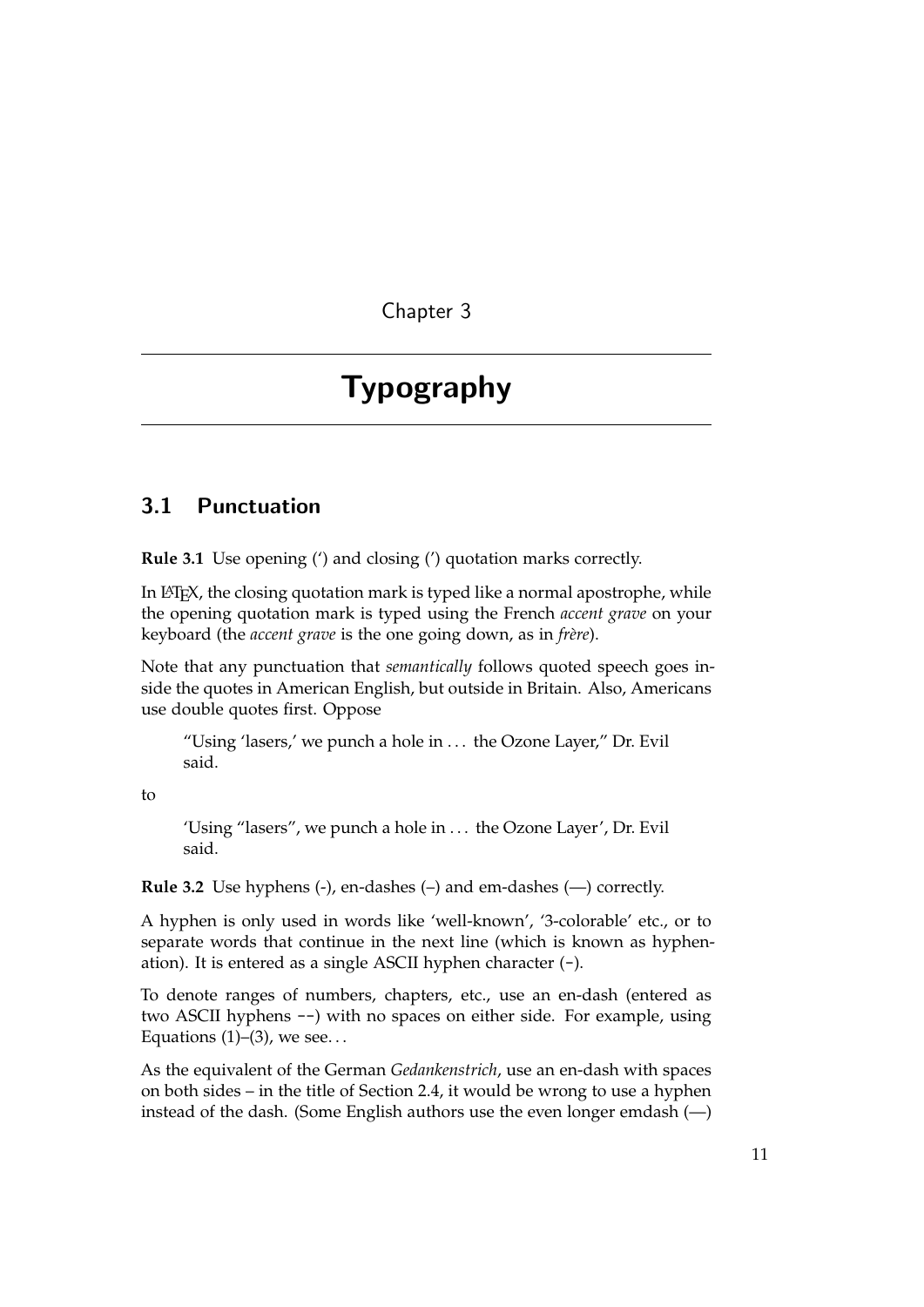## <span id="page-16-0"></span>Typography

#### <span id="page-16-1"></span>3.1 Punctuation

**Rule 3.1** Use opening (') and closing (') quotation marks correctly.

In LATEX, the closing quotation mark is typed like a normal apostrophe, while the opening quotation mark is typed using the French *accent grave* on your keyboard (the *accent grave* is the one going down, as in *frère*).

Note that any punctuation that *semantically* follows quoted speech goes inside the quotes in American English, but outside in Britain. Also, Americans use double quotes first. Oppose

"Using 'lasers,' we punch a hole in . . . the Ozone Layer," Dr. Evil said.

to

'Using "lasers", we punch a hole in . . . the Ozone Layer', Dr. Evil said.

**Rule 3.2** Use hyphens (-), en-dashes (–) and em-dashes (—) correctly.

A hyphen is only used in words like 'well-known', '3-colorable' etc., or to separate words that continue in the next line (which is known as hyphenation). It is entered as a single ASCII hyphen character (-).

To denote ranges of numbers, chapters, etc., use an en-dash (entered as two ASCII hyphens --) with no spaces on either side. For example, using Equations  $(1)$ – $(3)$ , we see...

As the equivalent of the German *Gedankenstrich*, use an en-dash with spaces on both sides – in the title of Section [2.4,](#page-14-0) it would be wrong to use a hyphen instead of the dash. (Some English authors use the even longer emdash (—)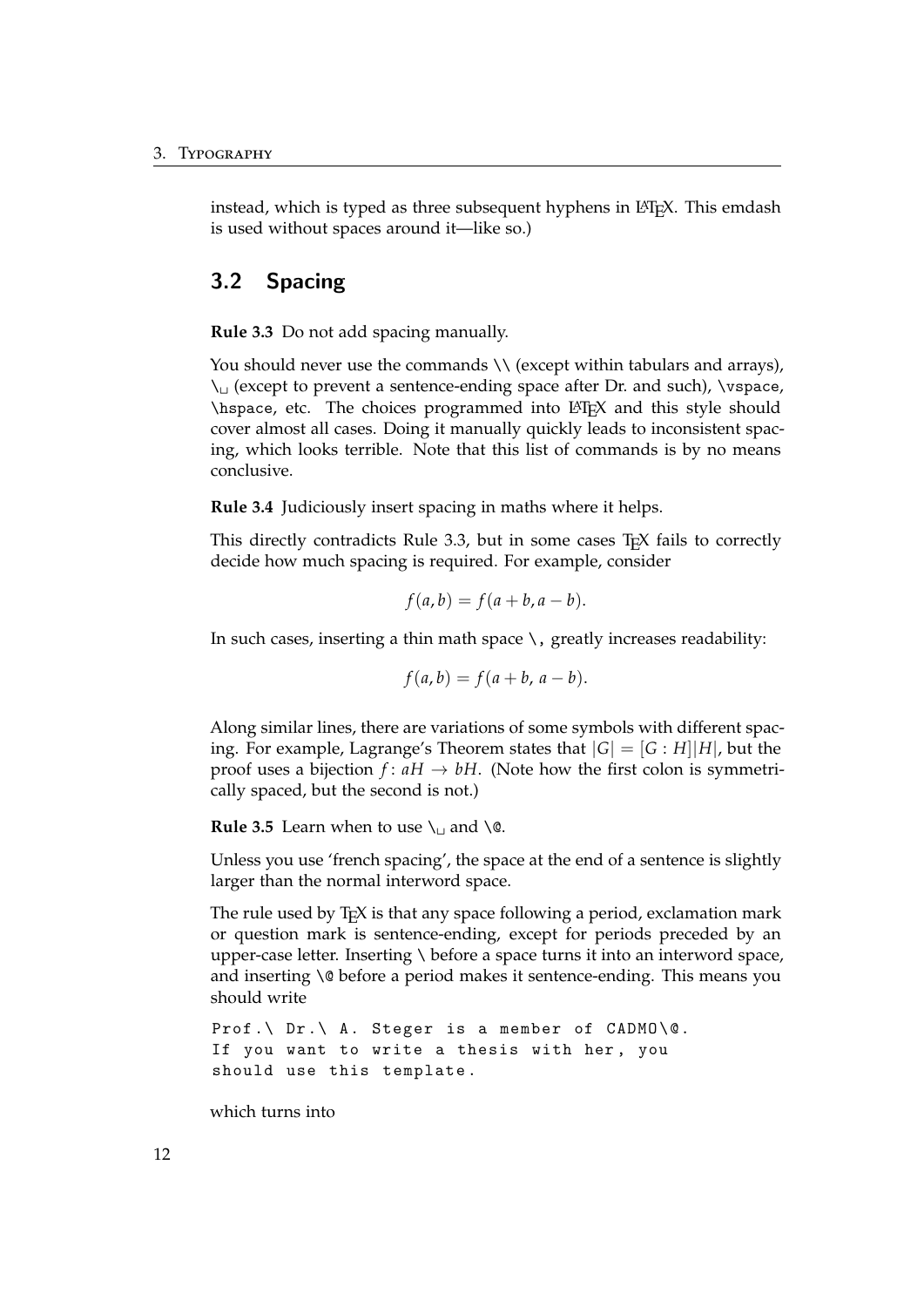instead, which is typed as three subsequent hyphens in  $\mathbb{E} \mathbb{E} \mathbb{E} \mathbb{E} \mathbb{E} \mathbb{E}$ . This emdash is used without spaces around it—like so.)

#### <span id="page-17-0"></span>3.2 Spacing

<span id="page-17-1"></span>**Rule 3.3** Do not add spacing manually.

You should never use the commands \\ (except within tabulars and arrays),  $\setminus$  (except to prevent a sentence-ending space after Dr. and such),  $\setminus$ vspace, \hspace, etc. The choices programmed into LATEX and this style should cover almost all cases. Doing it manually quickly leads to inconsistent spacing, which looks terrible. Note that this list of commands is by no means conclusive.

**Rule 3.4** Judiciously insert spacing in maths where it helps.

This directly contradicts Rule [3.3,](#page-17-1) but in some cases T<sub>E</sub>X fails to correctly decide how much spacing is required. For example, consider

$$
f(a,b) = f(a+b, a-b).
$$

In such cases, inserting a thin math space  $\setminus$ , greatly increases readability:

$$
f(a,b) = f(a+b, a-b).
$$

Along similar lines, there are variations of some symbols with different spacing. For example, Lagrange's Theorem states that  $|G| = [G : H]|H|$ , but the proof uses a bijection  $f: aH \to bH$ . (Note how the first colon is symmetrically spaced, but the second is not.)

**Rule 3.5** Learn when to use  $\iota$  and  $\iota$  @.

Unless you use 'french spacing', the space at the end of a sentence is slightly larger than the normal interword space.

The rule used by T<sub>F</sub>X is that any space following a period, exclamation mark or question mark is sentence-ending, except for periods preceded by an upper-case letter. Inserting \ before a space turns it into an interword space, and inserting \@ before a period makes it sentence-ending. This means you should write

```
Prof. \ Dr. \ A. Steger is a member of CADMO \0.
If you want to write a thesis with her, you
should use this template .
```
which turns into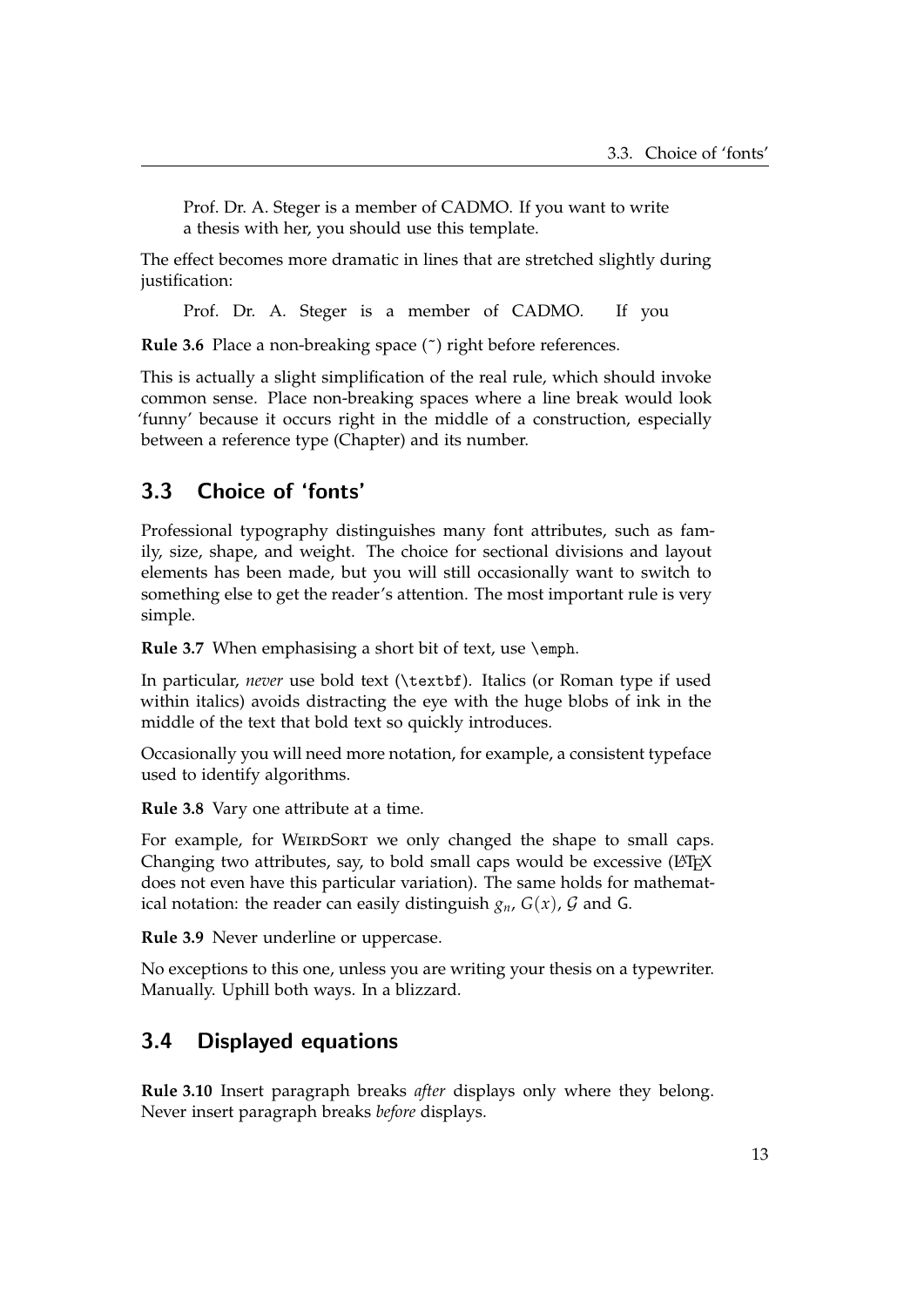Prof. Dr. A. Steger is a member of CADMO. If you want to write a thesis with her, you should use this template.

The effect becomes more dramatic in lines that are stretched slightly during justification:

Prof. Dr. A. Steger is a member of CADMO. If you

**Rule 3.6** Place a non-breaking space (~) right before references.

This is actually a slight simplification of the real rule, which should invoke common sense. Place non-breaking spaces where a line break would look 'funny' because it occurs right in the middle of a construction, especially between a reference type (Chapter) and its number.

#### <span id="page-18-0"></span>3.3 Choice of 'fonts'

Professional typography distinguishes many font attributes, such as family, size, shape, and weight. The choice for sectional divisions and layout elements has been made, but you will still occasionally want to switch to something else to get the reader's attention. The most important rule is very simple.

**Rule 3.7** When emphasising a short bit of text, use \emph.

In particular, *never* use bold text (\textbf). Italics (or Roman type if used within italics) avoids distracting the eye with the huge blobs of ink in the middle of the text that bold text so quickly introduces.

Occasionally you will need more notation, for example, a consistent typeface used to identify algorithms.

**Rule 3.8** Vary one attribute at a time.

For example, for WEIRDSORT we only changed the shape to small caps. Changing two attributes, say, to bold small caps would be excessive (LATEX does not even have this particular variation). The same holds for mathematical notation: the reader can easily distinguish  $g_n$ ,  $G(x)$ ,  $G$  and G.

**Rule 3.9** Never underline or uppercase.

No exceptions to this one, unless you are writing your thesis on a typewriter. Manually. Uphill both ways. In a blizzard.

#### <span id="page-18-1"></span>3.4 Displayed equations

**Rule 3.10** Insert paragraph breaks *after* displays only where they belong. Never insert paragraph breaks *before* displays.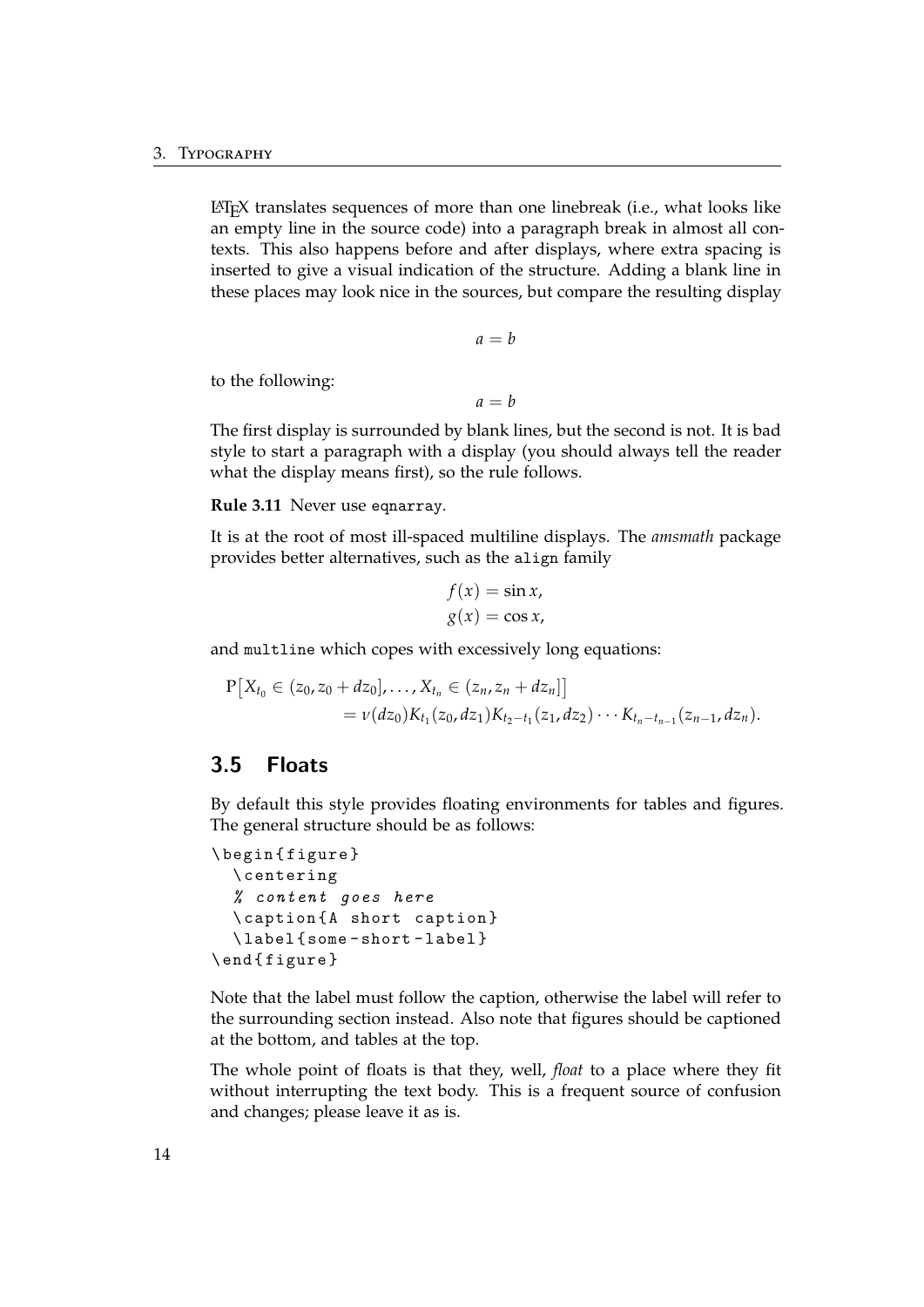LATEX translates sequences of more than one linebreak (i.e., what looks like an empty line in the source code) into a paragraph break in almost all contexts. This also happens before and after displays, where extra spacing is inserted to give a visual indication of the structure. Adding a blank line in these places may look nice in the sources, but compare the resulting display

$$
a = b
$$

to the following:

 $a = b$ 

The first display is surrounded by blank lines, but the second is not. It is bad style to start a paragraph with a display (you should always tell the reader what the display means first), so the rule follows.

**Rule 3.11** Never use eqnarray.

It is at the root of most ill-spaced multiline displays. The *amsmath* package provides better alternatives, such as the align family

$$
f(x) = \sin x,
$$
  

$$
g(x) = \cos x,
$$

and multline which copes with excessively long equations:

$$
P[X_{t_0} \in (z_0, z_0 + dz_0], \ldots, X_{t_n} \in (z_n, z_n + dz_n]]
$$
  
=  $\nu(dz_0)K_{t_1}(z_0, dz_1)K_{t_2-t_1}(z_1, dz_2) \cdots K_{t_n-t_{n-1}}(z_{n-1}, dz_n).$ 

#### <span id="page-19-0"></span>3.5 Floats

By default this style provides floating environments for tables and figures. The general structure should be as follows:

```
\ begin { figure }
  \ centering
  % content goes here
  \ caption { A short caption }
  \ label { some - short - label }
\ end { figure }
```
Note that the label must follow the caption, otherwise the label will refer to the surrounding section instead. Also note that figures should be captioned at the bottom, and tables at the top.

The whole point of floats is that they, well, *float* to a place where they fit without interrupting the text body. This is a frequent source of confusion and changes; please leave it as is.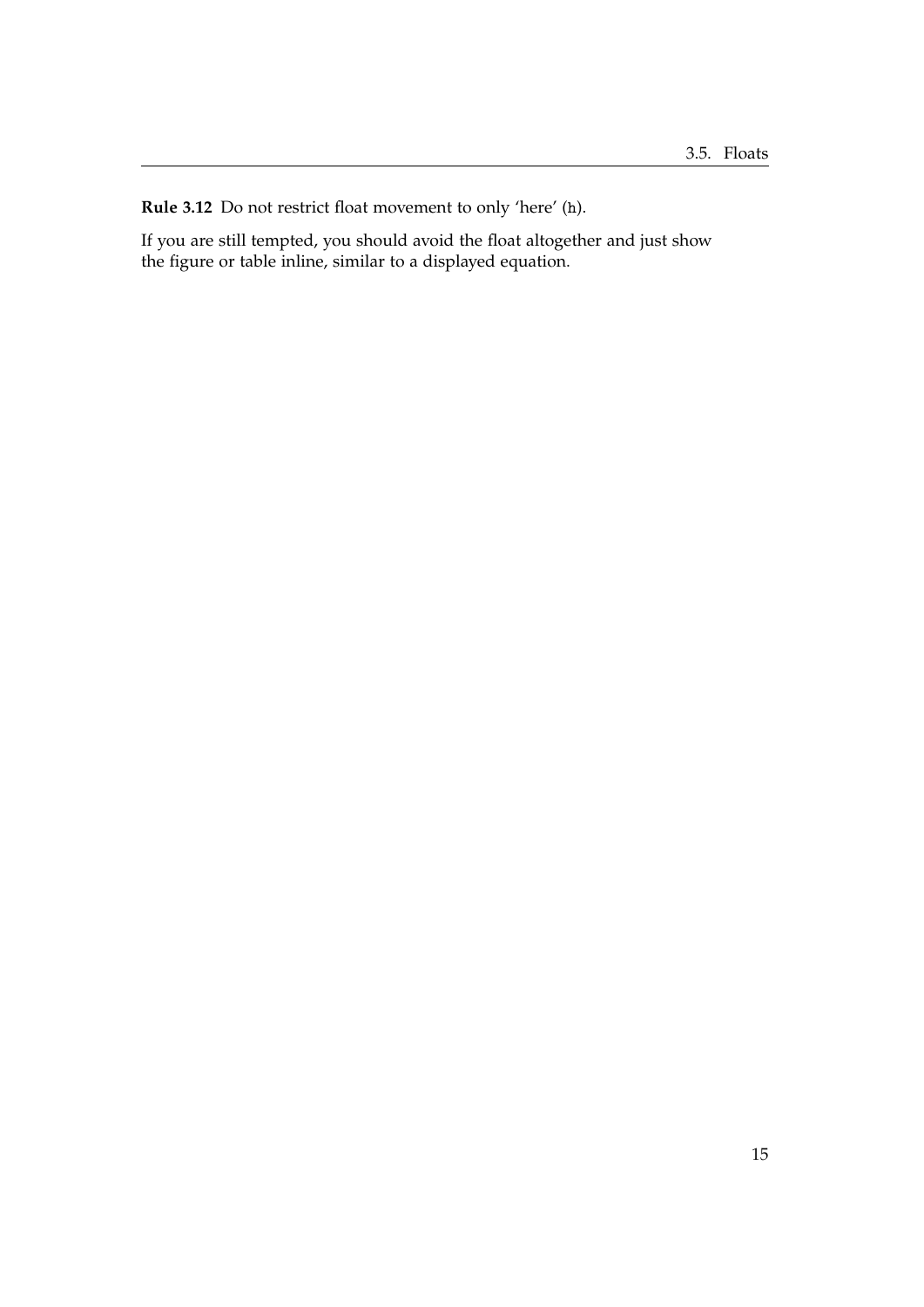**Rule 3.12** Do not restrict float movement to only 'here' (h).

If you are still tempted, you should avoid the float altogether and just show the figure or table inline, similar to a displayed equation.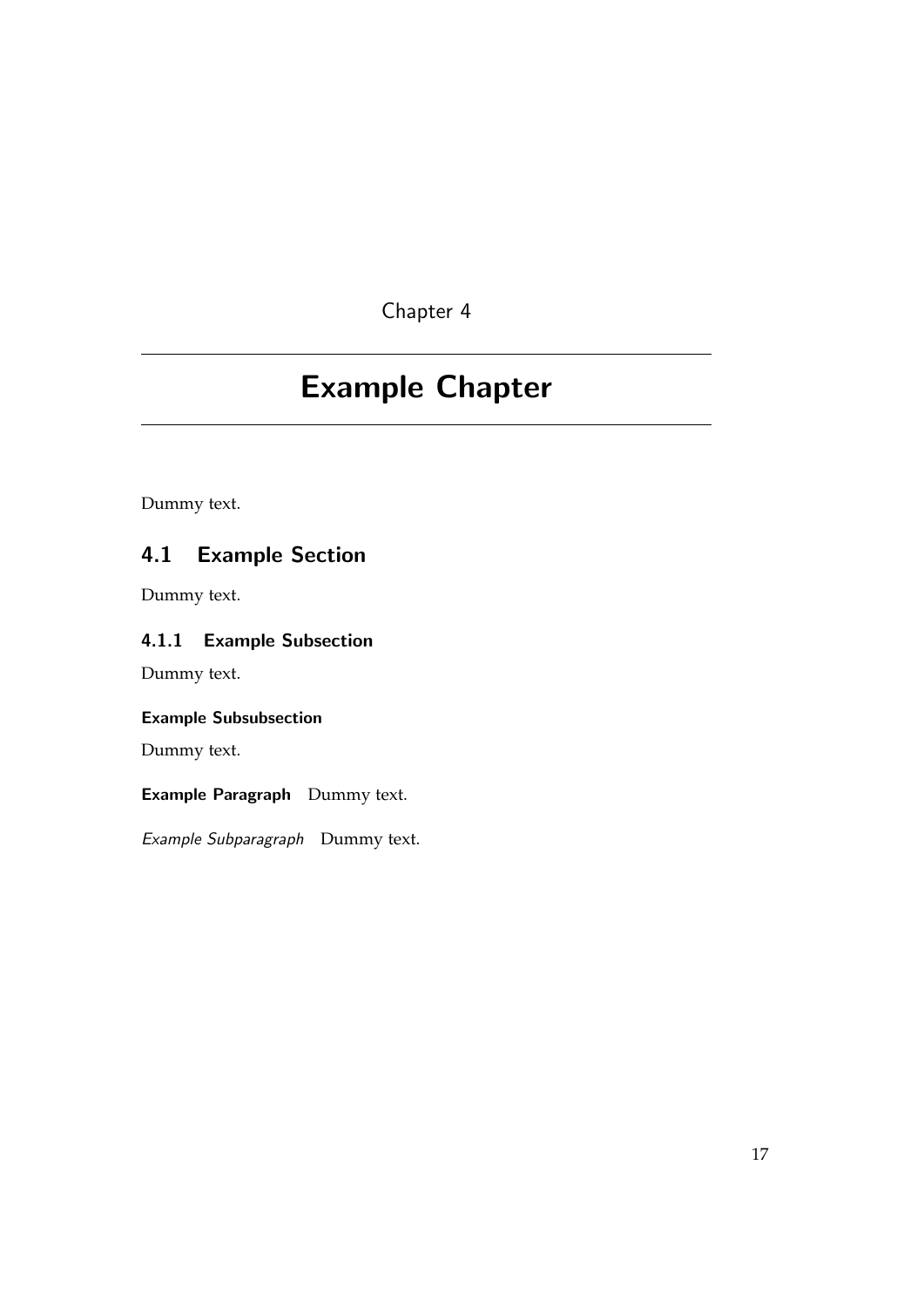## <span id="page-22-0"></span>Example Chapter

Dummy text.

## <span id="page-22-1"></span>4.1 Example Section

Dummy text.

### <span id="page-22-2"></span>4.1.1 Example Subsection

Dummy text.

#### Example Subsubsection

Dummy text.

#### Example Paragraph Dummy text.

Example Subparagraph Dummy text.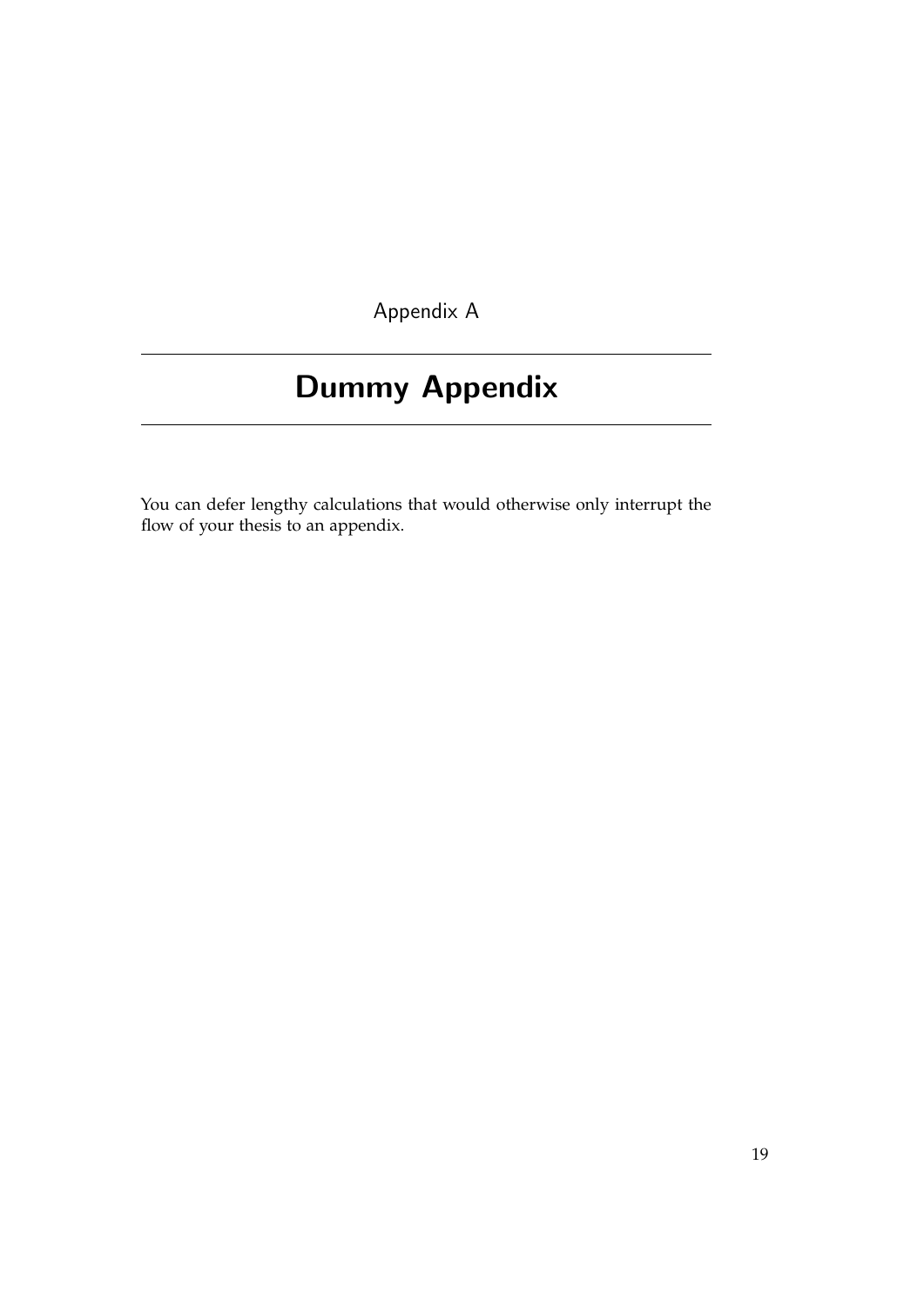Appendix A

## <span id="page-24-0"></span>Dummy Appendix

You can defer lengthy calculations that would otherwise only interrupt the flow of your thesis to an appendix.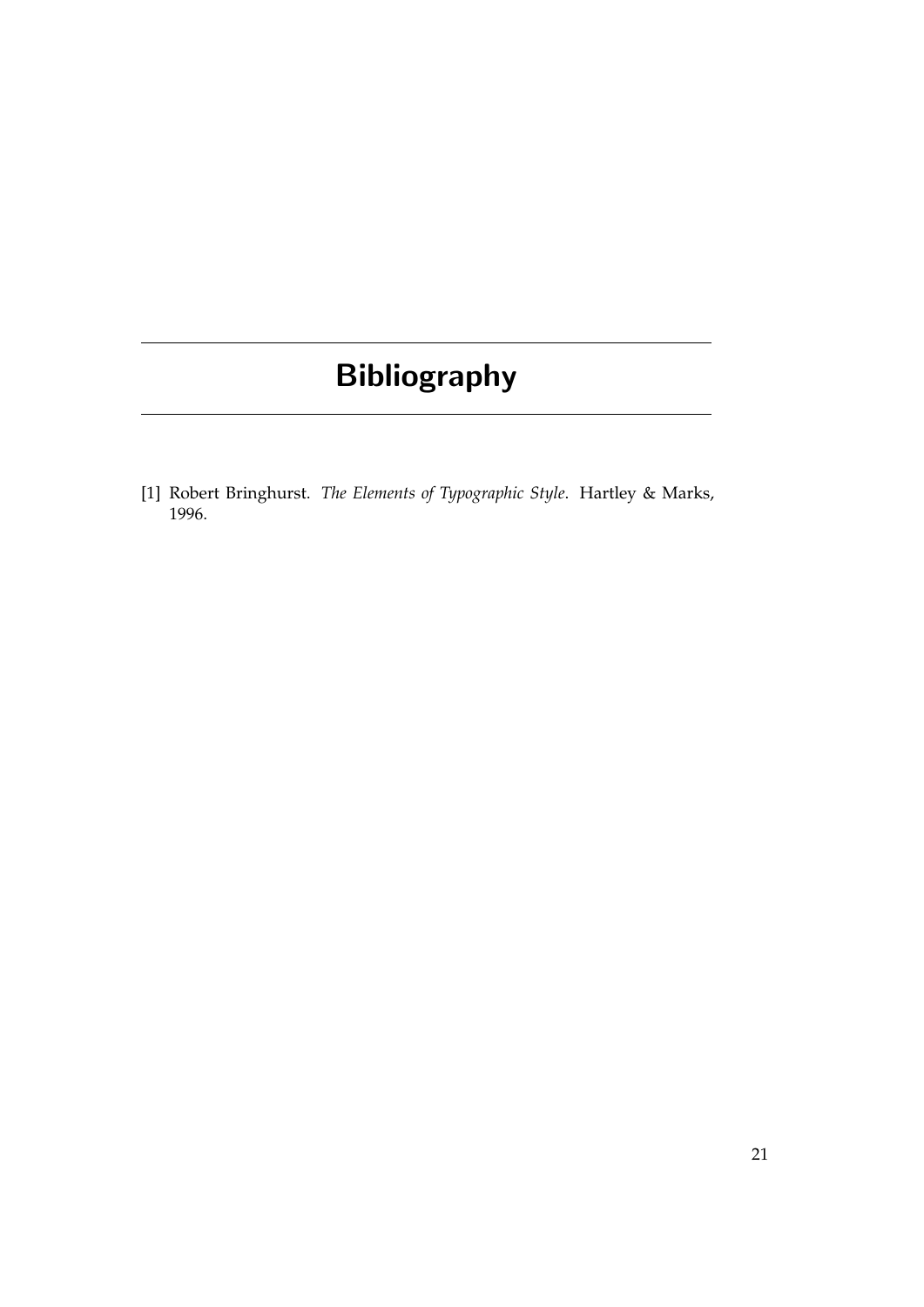# Bibliography

<span id="page-26-0"></span>[1] Robert Bringhurst. *The Elements of Typographic Style*. Hartley & Marks, 1996.